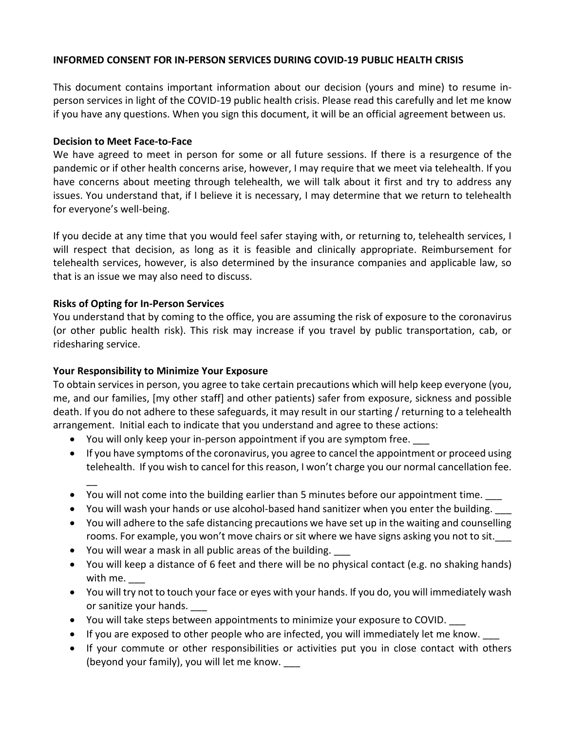### **INFORMED CONSENT FOR IN-PERSON SERVICES DURING COVID-19 PUBLIC HEALTH CRISIS**

This document contains important information about our decision (yours and mine) to resume inperson services in light of the COVID-19 public health crisis. Please read this carefully and let me know if you have any questions. When you sign this document, it will be an official agreement between us.

#### **Decision to Meet Face-to-Face**

We have agreed to meet in person for some or all future sessions. If there is a resurgence of the pandemic or if other health concerns arise, however, I may require that we meet via telehealth. If you have concerns about meeting through telehealth, we will talk about it first and try to address any issues. You understand that, if I believe it is necessary, I may determine that we return to telehealth for everyone's well-being.

If you decide at any time that you would feel safer staying with, or returning to, telehealth services, I will respect that decision, as long as it is feasible and clinically appropriate. Reimbursement for telehealth services, however, is also determined by the insurance companies and applicable law, so that is an issue we may also need to discuss.

# **Risks of Opting for In-Person Services**

 $\overline{a}$ 

You understand that by coming to the office, you are assuming the risk of exposure to the coronavirus (or other public health risk). This risk may increase if you travel by public transportation, cab, or ridesharing service.

# **Your Responsibility to Minimize Your Exposure**

To obtain services in person, you agree to take certain precautions which will help keep everyone (you, me, and our families, [my other staff] and other patients) safer from exposure, sickness and possible death. If you do not adhere to these safeguards, it may result in our starting / returning to a telehealth arrangement. Initial each to indicate that you understand and agree to these actions:

- You will only keep your in-person appointment if you are symptom free.
- If you have symptoms of the coronavirus, you agree to cancel the appointment or proceed using telehealth. If you wish to cancel for this reason, I won't charge you our normal cancellation fee.
- You will not come into the building earlier than 5 minutes before our appointment time.
- You will wash your hands or use alcohol-based hand sanitizer when you enter the building.
- You will adhere to the safe distancing precautions we have set up in the waiting and counselling rooms. For example, you won't move chairs or sit where we have signs asking you not to sit.
- You will wear a mask in all public areas of the building.
- You will keep a distance of 6 feet and there will be no physical contact (e.g. no shaking hands) with me.
- You will try not to touch your face or eyes with your hands. If you do, you will immediately wash or sanitize your hands.
- You will take steps between appointments to minimize your exposure to COVID. \_\_\_
- If you are exposed to other people who are infected, you will immediately let me know.
- If your commute or other responsibilities or activities put you in close contact with others (beyond your family), you will let me know. \_\_\_